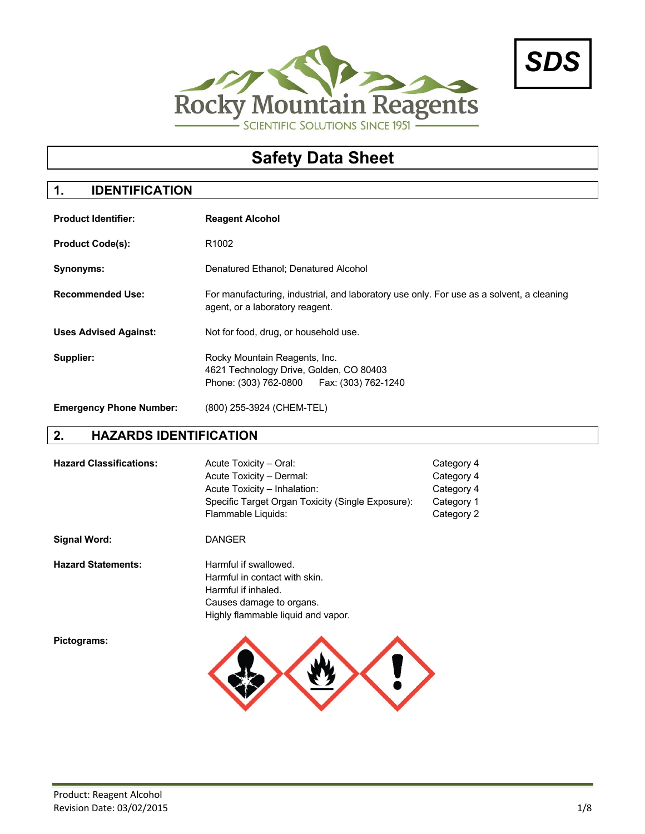



# **Safety Data Sheet**

## **1. IDENTIFICATION**

| <b>Product Identifier:</b>     | <b>Reagent Alcohol</b>                                                                                                      |
|--------------------------------|-----------------------------------------------------------------------------------------------------------------------------|
| <b>Product Code(s):</b>        | R <sub>1002</sub>                                                                                                           |
| Synonyms:                      | Denatured Ethanol; Denatured Alcohol                                                                                        |
| <b>Recommended Use:</b>        | For manufacturing, industrial, and laboratory use only. For use as a solvent, a cleaning<br>agent, or a laboratory reagent. |
| <b>Uses Advised Against:</b>   | Not for food, drug, or household use.                                                                                       |
| Supplier:                      | Rocky Mountain Reagents, Inc.<br>4621 Technology Drive, Golden, CO 80403<br>Fax: (303) 762-1240<br>Phone: (303) 762-0800    |
| <b>Emergency Phone Number:</b> | (800) 255-3924 (CHEM-TEL)                                                                                                   |

## **2. HAZARDS IDENTIFICATION**

| <b>Hazard Classifications:</b> | Acute Toxicity - Oral:<br>Acute Toxicity - Dermal:<br>Acute Toxicity - Inhalation:<br>Specific Target Organ Toxicity (Single Exposure):<br>Flammable Liquids: | Category 4<br>Category 4<br>Category 4<br>Category 1<br>Category 2 |
|--------------------------------|---------------------------------------------------------------------------------------------------------------------------------------------------------------|--------------------------------------------------------------------|
| <b>Signal Word:</b>            | <b>DANGER</b>                                                                                                                                                 |                                                                    |
| <b>Hazard Statements:</b>      | Harmful if swallowed.<br>Harmful in contact with skin.<br>Harmful if inhaled.<br>Causes damage to organs.<br>Highly flammable liquid and vapor.               |                                                                    |
| Pictograms:                    |                                                                                                                                                               |                                                                    |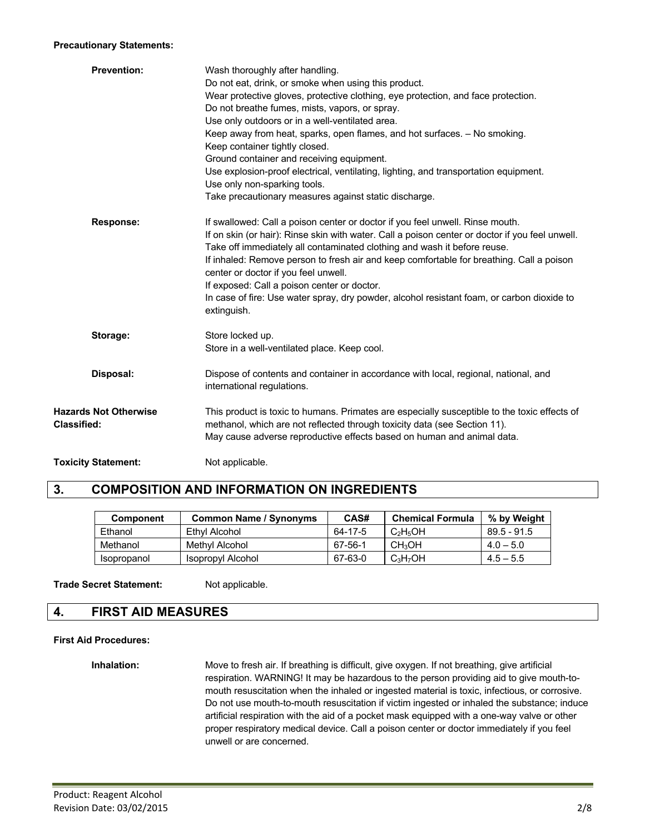#### **Precautionary Statements:**

| <b>Prevention:</b>                                 | Wash thoroughly after handling.<br>Do not eat, drink, or smoke when using this product.<br>Wear protective gloves, protective clothing, eye protection, and face protection.<br>Do not breathe fumes, mists, vapors, or spray.<br>Use only outdoors or in a well-ventilated area.<br>Keep away from heat, sparks, open flames, and hot surfaces. - No smoking.<br>Keep container tightly closed.<br>Ground container and receiving equipment.<br>Use explosion-proof electrical, ventilating, lighting, and transportation equipment.<br>Use only non-sparking tools.<br>Take precautionary measures against static discharge. |
|----------------------------------------------------|--------------------------------------------------------------------------------------------------------------------------------------------------------------------------------------------------------------------------------------------------------------------------------------------------------------------------------------------------------------------------------------------------------------------------------------------------------------------------------------------------------------------------------------------------------------------------------------------------------------------------------|
| <b>Response:</b>                                   | If swallowed: Call a poison center or doctor if you feel unwell. Rinse mouth.<br>If on skin (or hair): Rinse skin with water. Call a poison center or doctor if you feel unwell.<br>Take off immediately all contaminated clothing and wash it before reuse.<br>If inhaled: Remove person to fresh air and keep comfortable for breathing. Call a poison<br>center or doctor if you feel unwell.<br>If exposed: Call a poison center or doctor.<br>In case of fire: Use water spray, dry powder, alcohol resistant foam, or carbon dioxide to<br>extinguish.                                                                   |
| Storage:                                           | Store locked up.<br>Store in a well-ventilated place. Keep cool.                                                                                                                                                                                                                                                                                                                                                                                                                                                                                                                                                               |
| Disposal:                                          | Dispose of contents and container in accordance with local, regional, national, and<br>international regulations.                                                                                                                                                                                                                                                                                                                                                                                                                                                                                                              |
| <b>Hazards Not Otherwise</b><br><b>Classified:</b> | This product is toxic to humans. Primates are especially susceptible to the toxic effects of<br>methanol, which are not reflected through toxicity data (see Section 11).<br>May cause adverse reproductive effects based on human and animal data.                                                                                                                                                                                                                                                                                                                                                                            |
| <b>Toxicity Statement:</b>                         | Not applicable.                                                                                                                                                                                                                                                                                                                                                                                                                                                                                                                                                                                                                |

## **3. COMPOSITION AND INFORMATION ON INGREDIENTS**

| <b>Component</b> | <b>Common Name / Synonyms</b> | CAS#    | <b>Chemical Formula</b> | % by Weight   |
|------------------|-------------------------------|---------|-------------------------|---------------|
| Ethanol          | Ethyl Alcohol                 | 64-17-5 | $C_2H_5OH$              | $89.5 - 91.5$ |
| Methanol         | Methyl Alcohol                | 67-56-1 | CH <sub>3</sub> OH      | $4.0 - 5.0$   |
| Isopropanol      | Isopropyl Alcohol             | 67-63-0 | $C_3H_7OH$              | $4.5 - 5.5$   |

**Trade Secret Statement:** Not applicable.

### **4. FIRST AID MEASURES**

#### **First Aid Procedures:**

**Inhalation:** Move to fresh air. If breathing is difficult, give oxygen. If not breathing, give artificial respiration. WARNING! It may be hazardous to the person providing aid to give mouth-tomouth resuscitation when the inhaled or ingested material is toxic, infectious, or corrosive. Do not use mouth-to-mouth resuscitation if victim ingested or inhaled the substance; induce artificial respiration with the aid of a pocket mask equipped with a one-way valve or other proper respiratory medical device. Call a poison center or doctor immediately if you feel unwell or are concerned.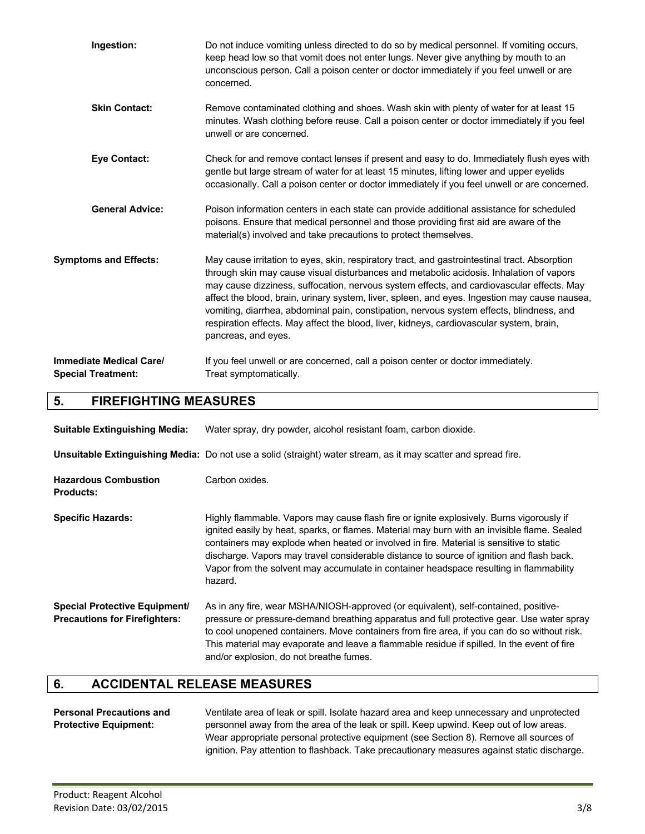| Ingestion:                                                  | Do not induce vomiting unless directed to do so by medical personnel. If vomiting occurs,<br>keep head low so that vomit does not enter lungs. Never give anything by mouth to an<br>unconscious person. Call a poison center or doctor immediately if you feel unwell or are<br>concerned.                                                                                                                                                                                                                                                                                                           |
|-------------------------------------------------------------|-------------------------------------------------------------------------------------------------------------------------------------------------------------------------------------------------------------------------------------------------------------------------------------------------------------------------------------------------------------------------------------------------------------------------------------------------------------------------------------------------------------------------------------------------------------------------------------------------------|
| <b>Skin Contact:</b>                                        | Remove contaminated clothing and shoes. Wash skin with plenty of water for at least 15<br>minutes. Wash clothing before reuse. Call a poison center or doctor immediately if you feel<br>unwell or are concerned.                                                                                                                                                                                                                                                                                                                                                                                     |
| <b>Eye Contact:</b>                                         | Check for and remove contact lenses if present and easy to do. Immediately flush eyes with<br>gentle but large stream of water for at least 15 minutes, lifting lower and upper eyelids<br>occasionally. Call a poison center or doctor immediately if you feel unwell or are concerned.                                                                                                                                                                                                                                                                                                              |
| <b>General Advice:</b>                                      | Poison information centers in each state can provide additional assistance for scheduled<br>poisons. Ensure that medical personnel and those providing first aid are aware of the<br>material(s) involved and take precautions to protect themselves.                                                                                                                                                                                                                                                                                                                                                 |
| <b>Symptoms and Effects:</b>                                | May cause irritation to eyes, skin, respiratory tract, and gastrointestinal tract. Absorption<br>through skin may cause visual disturbances and metabolic acidosis. Inhalation of vapors<br>may cause dizziness, suffocation, nervous system effects, and cardiovascular effects. May<br>affect the blood, brain, urinary system, liver, spleen, and eyes. Ingestion may cause nausea,<br>vomiting, diarrhea, abdominal pain, constipation, nervous system effects, blindness, and<br>respiration effects. May affect the blood, liver, kidneys, cardiovascular system, brain,<br>pancreas, and eyes. |
| <b>Immediate Medical Care/</b><br><b>Special Treatment:</b> | If you feel unwell or are concerned, call a poison center or doctor immediately.<br>Treat symptomatically.                                                                                                                                                                                                                                                                                                                                                                                                                                                                                            |

## **5. FIREFIGHTING MEASURES**

| <b>Suitable Extinguishing Media:</b>                                         | Water spray, dry powder, alcohol resistant foam, carbon dioxide.                                                                                                                                                                                                                                                                                                                                                                                                                     |  |  |
|------------------------------------------------------------------------------|--------------------------------------------------------------------------------------------------------------------------------------------------------------------------------------------------------------------------------------------------------------------------------------------------------------------------------------------------------------------------------------------------------------------------------------------------------------------------------------|--|--|
|                                                                              | Unsuitable Extinguishing Media: Do not use a solid (straight) water stream, as it may scatter and spread fire.                                                                                                                                                                                                                                                                                                                                                                       |  |  |
| <b>Hazardous Combustion</b><br><b>Products:</b>                              | Carbon oxides.                                                                                                                                                                                                                                                                                                                                                                                                                                                                       |  |  |
| <b>Specific Hazards:</b>                                                     | Highly flammable. Vapors may cause flash fire or ignite explosively. Burns vigorously if<br>ignited easily by heat, sparks, or flames. Material may burn with an invisible flame. Sealed<br>containers may explode when heated or involved in fire. Material is sensitive to static<br>discharge. Vapors may travel considerable distance to source of ignition and flash back.<br>Vapor from the solvent may accumulate in container headspace resulting in flammability<br>hazard. |  |  |
| <b>Special Protective Equipment/</b><br><b>Precautions for Firefighters:</b> | As in any fire, wear MSHA/NIOSH-approved (or equivalent), self-contained, positive-<br>pressure or pressure-demand breathing apparatus and full protective gear. Use water spray<br>to cool unopened containers. Move containers from fire area, if you can do so without risk.<br>This material may evaporate and leave a flammable residue if spilled. In the event of fire<br>and/or explosion, do not breathe fumes.                                                             |  |  |

## **6. ACCIDENTAL RELEASE MEASURES**

#### **Personal Precautions and** Ventilate area of leak or spill. Isolate hazard area and keep unnecessary and unprotected **Protective Equipment:** personnel away from the area of the leak or spill. Keep upwind. Keep out of low areas. Wear appropriate personal protective equipment (see Section 8). Remove all sources of ignition. Pay attention to flashback. Take precautionary measures against static discharge.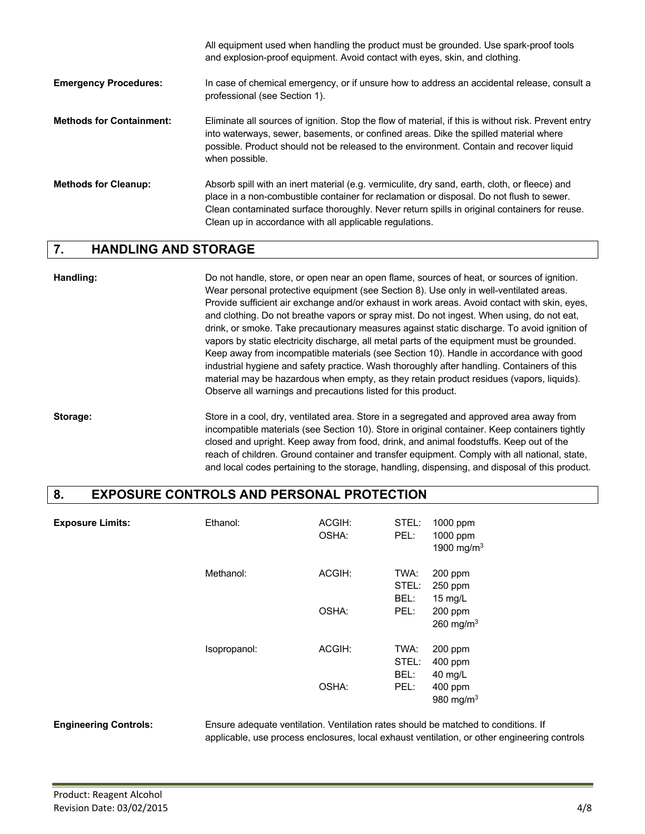|                                 | All equipment used when handling the product must be grounded. Use spark-proof tools<br>and explosion-proof equipment. Avoid contact with eyes, skin, and clothing.                                                                                                                                                                                  |
|---------------------------------|------------------------------------------------------------------------------------------------------------------------------------------------------------------------------------------------------------------------------------------------------------------------------------------------------------------------------------------------------|
| <b>Emergency Procedures:</b>    | In case of chemical emergency, or if unsure how to address an accidental release, consult a<br>professional (see Section 1).                                                                                                                                                                                                                         |
| <b>Methods for Containment:</b> | Eliminate all sources of ignition. Stop the flow of material, if this is without risk. Prevent entry<br>into waterways, sewer, basements, or confined areas. Dike the spilled material where<br>possible. Product should not be released to the environment. Contain and recover liquid<br>when possible.                                            |
| <b>Methods for Cleanup:</b>     | Absorb spill with an inert material (e.g. vermiculite, dry sand, earth, cloth, or fleece) and<br>place in a non-combustible container for reclamation or disposal. Do not flush to sewer.<br>Clean contaminated surface thoroughly. Never return spills in original containers for reuse.<br>Clean up in accordance with all applicable regulations. |

#### **7. HANDLING AND STORAGE**

**Handling:** Do not handle, store, or open near an open flame, sources of heat, or sources of ignition. Wear personal protective equipment (see Section 8). Use only in well-ventilated areas. Provide sufficient air exchange and/or exhaust in work areas. Avoid contact with skin, eyes, and clothing. Do not breathe vapors or spray mist. Do not ingest. When using, do not eat, drink, or smoke. Take precautionary measures against static discharge. To avoid ignition of vapors by static electricity discharge, all metal parts of the equipment must be grounded. Keep away from incompatible materials (see Section 10). Handle in accordance with good industrial hygiene and safety practice. Wash thoroughly after handling. Containers of this material may be hazardous when empty, as they retain product residues (vapors, liquids). Observe all warnings and precautions listed for this product.

**Storage:** Store in a cool, dry, ventilated area. Store in a segregated and approved area away from incompatible materials (see Section 10). Store in original container. Keep containers tightly closed and upright. Keep away from food, drink, and animal foodstuffs. Keep out of the reach of children. Ground container and transfer equipment. Comply with all national, state, and local codes pertaining to the storage, handling, dispensing, and disposal of this product.

### **8. EXPOSURE CONTROLS AND PERSONAL PROTECTION**

| <b>Exposure Limits:</b> | Ethanol:     | ACGIH:<br>OSHA: | STEL:<br>PEL:         | 1000 ppm<br>1000 ppm<br>1900 mg/m $3$ |
|-------------------------|--------------|-----------------|-----------------------|---------------------------------------|
|                         | Methanol:    | ACGIH:          | TWA:<br>STEL:<br>BEL: | 200 ppm<br>250 ppm<br>15 $mg/L$       |
|                         |              | OSHA:           | PEL:                  | 200 ppm<br>260 mg/m $3$               |
|                         | Isopropanol: | ACGIH:          | TWA:<br>STEL:<br>BEL: | $200$ ppm<br>400 ppm<br>40 mg/L       |
|                         |              | OSHA:           | PEL:                  | 400 ppm<br>980 mg/m $3$               |

**Engineering Controls:** Ensure adequate ventilation. Ventilation rates should be matched to conditions. If applicable, use process enclosures, local exhaust ventilation, or other engineering controls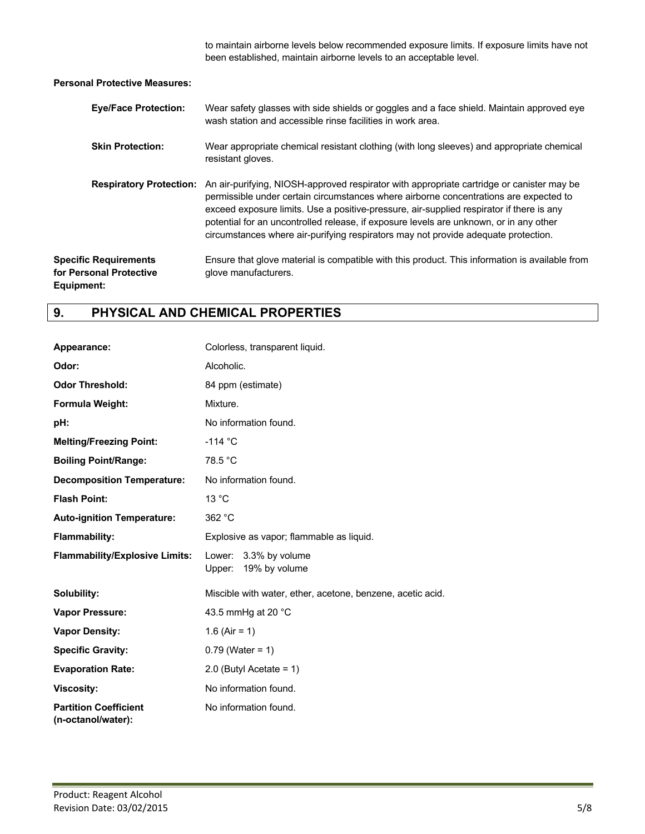to maintain airborne levels below recommended exposure limits. If exposure limits have not been established, maintain airborne levels to an acceptable level.

**Personal Protective Measures:**

| <b>Eye/Face Protection:</b>                                           | Wear safety glasses with side shields or goggles and a face shield. Maintain approved eye<br>wash station and accessible rinse facilities in work area.                                                                                                                                                                                                                                                                                                        |
|-----------------------------------------------------------------------|----------------------------------------------------------------------------------------------------------------------------------------------------------------------------------------------------------------------------------------------------------------------------------------------------------------------------------------------------------------------------------------------------------------------------------------------------------------|
| <b>Skin Protection:</b>                                               | Wear appropriate chemical resistant clothing (with long sleeves) and appropriate chemical<br>resistant gloves.                                                                                                                                                                                                                                                                                                                                                 |
| <b>Respiratory Protection:</b>                                        | An air-purifying, NIOSH-approved respirator with appropriate cartridge or canister may be<br>permissible under certain circumstances where airborne concentrations are expected to<br>exceed exposure limits. Use a positive-pressure, air-supplied respirator if there is any<br>potential for an uncontrolled release, if exposure levels are unknown, or in any other<br>circumstances where air-purifying respirators may not provide adequate protection. |
| <b>Specific Requirements</b><br>for Personal Protective<br>Equipment: | Ensure that glove material is compatible with this product. This information is available from<br>glove manufacturers.                                                                                                                                                                                                                                                                                                                                         |

## **9. PHYSICAL AND CHEMICAL PROPERTIES**

| Appearance:                                        | Colorless, transparent liquid.                             |  |  |
|----------------------------------------------------|------------------------------------------------------------|--|--|
| Odor:                                              | Alcoholic.                                                 |  |  |
| <b>Odor Threshold:</b>                             | 84 ppm (estimate)                                          |  |  |
| Formula Weight:                                    | Mixture.                                                   |  |  |
| pH:                                                | No information found.                                      |  |  |
| <b>Melting/Freezing Point:</b>                     | $-114$ °C                                                  |  |  |
| <b>Boiling Point/Range:</b>                        | 78.5 °C                                                    |  |  |
| <b>Decomposition Temperature:</b>                  | No information found.                                      |  |  |
| <b>Flash Point:</b>                                | 13 °C                                                      |  |  |
| <b>Auto-ignition Temperature:</b>                  | 362 °C                                                     |  |  |
| <b>Flammability:</b>                               | Explosive as vapor; flammable as liquid.                   |  |  |
| <b>Flammability/Explosive Limits:</b>              | Lower: 3.3% by volume<br>Upper: 19% by volume              |  |  |
| Solubility:                                        | Miscible with water, ether, acetone, benzene, acetic acid. |  |  |
| <b>Vapor Pressure:</b>                             | 43.5 mmHg at 20 °C                                         |  |  |
| <b>Vapor Density:</b>                              | 1.6 (Air = 1)                                              |  |  |
| <b>Specific Gravity:</b>                           | $0.79$ (Water = 1)                                         |  |  |
| <b>Evaporation Rate:</b>                           | 2.0 (Butyl Acetate = $1$ )                                 |  |  |
| <b>Viscosity:</b>                                  | No information found.                                      |  |  |
| <b>Partition Coefficient</b><br>(n-octanol/water): | No information found.                                      |  |  |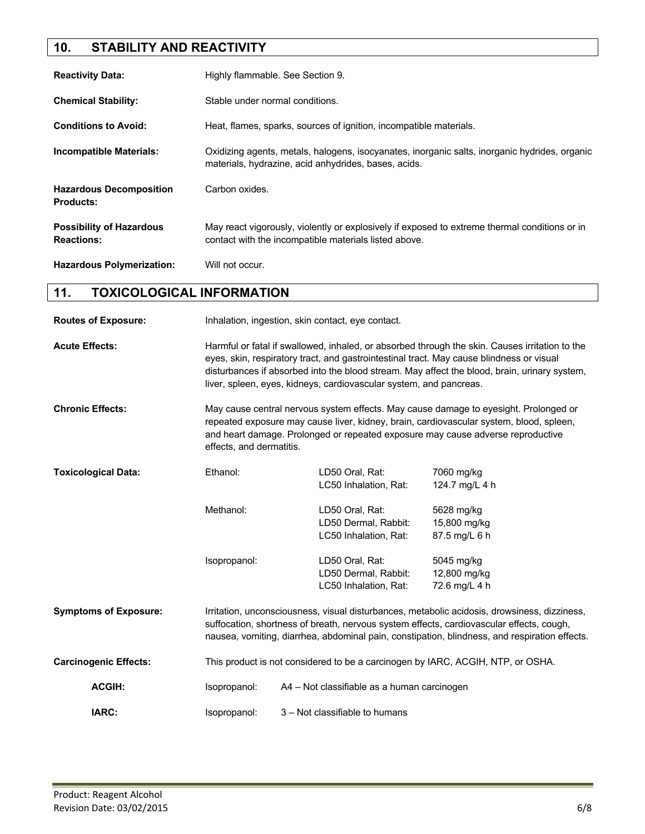## **10. STABILITY AND REACTIVITY**

| <b>Reactivity Data:</b>                              | Highly flammable. See Section 9.                                                                                                                       |  |  |
|------------------------------------------------------|--------------------------------------------------------------------------------------------------------------------------------------------------------|--|--|
| <b>Chemical Stability:</b>                           | Stable under normal conditions.                                                                                                                        |  |  |
| <b>Conditions to Avoid:</b>                          | Heat, flames, sparks, sources of ignition, incompatible materials.                                                                                     |  |  |
| <b>Incompatible Materials:</b>                       | Oxidizing agents, metals, halogens, isocyanates, inorganic salts, inorganic hydrides, organic<br>materials, hydrazine, acid anhydrides, bases, acids.  |  |  |
| <b>Hazardous Decomposition</b><br><b>Products:</b>   | Carbon oxides.                                                                                                                                         |  |  |
| <b>Possibility of Hazardous</b><br><b>Reactions:</b> | May react vigorously, violently or explosively if exposed to extreme thermal conditions or in<br>contact with the incompatible materials listed above. |  |  |
| <b>Hazardous Polymerization:</b>                     | Will not occur.                                                                                                                                        |  |  |

## **11. TOXICOLOGICAL INFORMATION**

| <b>Routes of Exposure:</b>   | Inhalation, ingestion, skin contact, eye contact. |                                                                                                                                                                                                                                                                                                                                                                  |                                             |  |
|------------------------------|---------------------------------------------------|------------------------------------------------------------------------------------------------------------------------------------------------------------------------------------------------------------------------------------------------------------------------------------------------------------------------------------------------------------------|---------------------------------------------|--|
| <b>Acute Effects:</b>        |                                                   | Harmful or fatal if swallowed, inhaled, or absorbed through the skin. Causes irritation to the<br>eyes, skin, respiratory tract, and gastrointestinal tract. May cause blindness or visual<br>disturbances if absorbed into the blood stream. May affect the blood, brain, urinary system,<br>liver, spleen, eyes, kidneys, cardiovascular system, and pancreas. |                                             |  |
| <b>Chronic Effects:</b>      |                                                   | May cause central nervous system effects. May cause damage to eyesight. Prolonged or<br>repeated exposure may cause liver, kidney, brain, cardiovascular system, blood, spleen,<br>and heart damage. Prolonged or repeated exposure may cause adverse reproductive<br>effects, and dermatitis.                                                                   |                                             |  |
| <b>Toxicological Data:</b>   | Ethanol:                                          | LD50 Oral, Rat:<br>LC50 Inhalation, Rat:                                                                                                                                                                                                                                                                                                                         | 7060 mg/kg<br>124.7 mg/L 4 h                |  |
|                              | Methanol:                                         | LD50 Oral, Rat:<br>LD50 Dermal, Rabbit:<br>LC50 Inhalation, Rat:                                                                                                                                                                                                                                                                                                 | 5628 mg/kg<br>15,800 mg/kg<br>87.5 mg/L 6 h |  |
|                              | Isopropanol:                                      | LD50 Oral, Rat:<br>LD50 Dermal, Rabbit:<br>LC50 Inhalation, Rat:                                                                                                                                                                                                                                                                                                 | 5045 mg/kg<br>12,800 mg/kg<br>72.6 mg/L 4 h |  |
| <b>Symptoms of Exposure:</b> |                                                   | Irritation, unconsciousness, visual disturbances, metabolic acidosis, drowsiness, dizziness,<br>suffocation, shortness of breath, nervous system effects, cardiovascular effects, cough,<br>nausea, vomiting, diarrhea, abdominal pain, constipation, blindness, and respiration effects.                                                                        |                                             |  |
| <b>Carcinogenic Effects:</b> |                                                   | This product is not considered to be a carcinogen by IARC, ACGIH, NTP, or OSHA.                                                                                                                                                                                                                                                                                  |                                             |  |
| <b>ACGIH:</b>                | Isopropanol:                                      | A4 - Not classifiable as a human carcinogen                                                                                                                                                                                                                                                                                                                      |                                             |  |
| IARC:                        | Isopropanol:                                      | 3 – Not classifiable to humans                                                                                                                                                                                                                                                                                                                                   |                                             |  |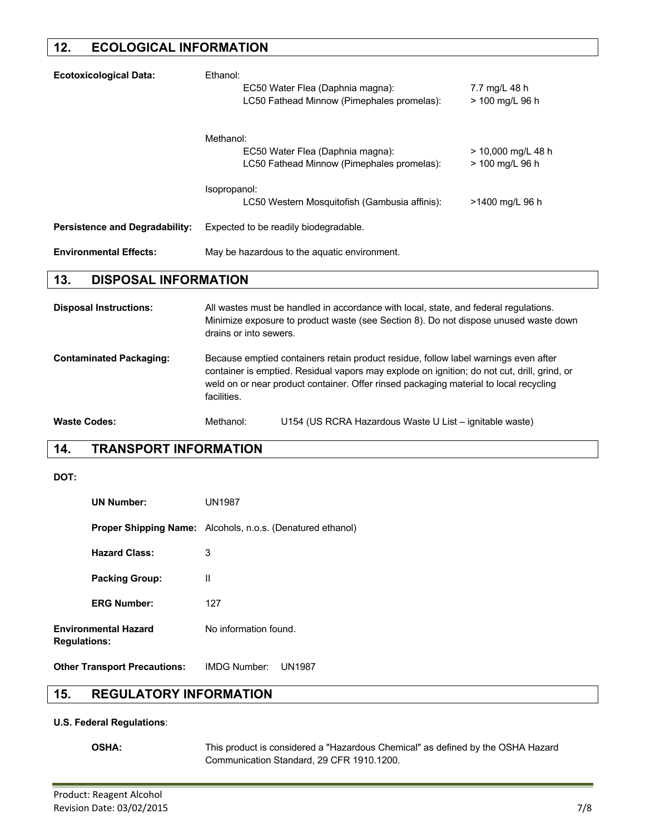### **12. ECOLOGICAL INFORMATION**

| <b>Ecotoxicological Data:</b>         | Ethanol:<br>EC50 Water Flea (Daphnia magna):<br>7.7 mg/L 48 h<br>LC50 Fathead Minnow (Pimephales promelas):<br>> 100 mg/L 96 h                                                                         |  |  |  |
|---------------------------------------|--------------------------------------------------------------------------------------------------------------------------------------------------------------------------------------------------------|--|--|--|
|                                       | Methanol:<br>EC50 Water Flea (Daphnia magna):<br>> 10,000 mg/L 48 h<br>LC50 Fathead Minnow (Pimephales promelas):<br>> 100 mg/L 96 h                                                                   |  |  |  |
|                                       | Isopropanol:<br>LC50 Western Mosquitofish (Gambusia affinis):<br>>1400 mg/L 96 h                                                                                                                       |  |  |  |
| <b>Persistence and Degradability:</b> | Expected to be readily biodegradable.                                                                                                                                                                  |  |  |  |
| <b>Environmental Effects:</b>         | May be hazardous to the aquatic environment.                                                                                                                                                           |  |  |  |
| <b>DISPOSAL INFORMATION</b><br>13.    |                                                                                                                                                                                                        |  |  |  |
| <b>Disposal Instructions:</b>         | All wastes must be handled in accordance with local, state, and federal regulations.<br>Minimize exposure to product waste (see Section 8). Do not dispose unused waste down<br>drains or into sewers. |  |  |  |
| <b>Contaminated Packaging:</b>        | Because emptied containers retain product residue, follow label warnings even after<br>container is emptied. Pesidual vapers may evolede en ignition; de not sut drill grind or                        |  |  |  |

container is emptied. Residual vapors may explode on ignition; do not cut, drill, grind, or weld on or near product container. Offer rinsed packaging material to local recycling facilities.

Waste Codes: Methanol: U154 (US RCRA Hazardous Waste U List – ignitable waste)

## **14. TRANSPORT INFORMATION**

#### **DOT:**

| <b>UN Number:</b>                                  | <b>UN1987</b>                                                     |
|----------------------------------------------------|-------------------------------------------------------------------|
|                                                    | <b>Proper Shipping Name:</b> Alcohols, n.o.s. (Denatured ethanol) |
| <b>Hazard Class:</b>                               | 3                                                                 |
| <b>Packing Group:</b>                              | Ш                                                                 |
| <b>ERG Number:</b>                                 | 127                                                               |
| <b>Environmental Hazard</b><br><b>Regulations:</b> | No information found.                                             |
|                                                    | $\mathbf{R}$                                                      |

**Other Transport Precautions:** IMDG Number: UN1987

## **15. REGULATORY INFORMATION**

#### **U.S. Federal Regulations**:

**OSHA:** This product is considered a "Hazardous Chemical" as defined by the OSHA Hazard Communication Standard, 29 CFR 1910.1200.